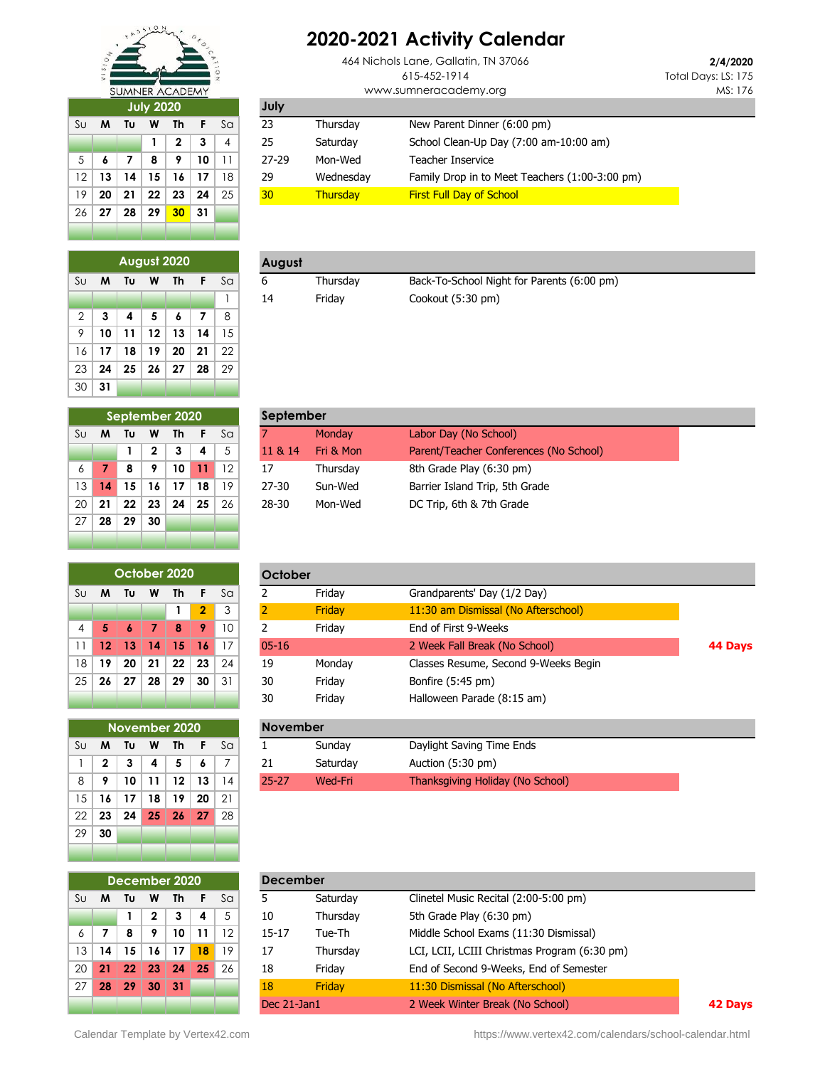

## **2020-2021 Activity Calendar**

**23** Thursday New Parent Dinner (6:00 pm)

**Monday Labor Day (No School) 1 2 3 4** 5 11 & 14 Fri & Mon Parent/Teacher Conferences (No School)

17 Thursday 8th Grade Play (6:30 pm) 13 **14 15 16 17 18** 19 27-30 Sun-Wed Barrier Island Trip, 5th Grade 20 **21 22 23 24 25** 26 28-30 Mon-Wed DC Trip, 6th & 7th Grade

**September**

**July**

5 **6 7 8 9 10** 11 27-29 Mon-Wed Teacher Inservice

19 **20 21 22 23 24** 25 30 Thursday First Full Day of School

464 Nichols Lane, Gallatin, TN 37066 615-452-1914 www.sumneracademy.org

**1 2 3** 4 25 Saturday School Clean-Up Day (7:00 am-10:00 am)

12 **13 14 15 16 17** 18 29 Wednesday Family Drop in to Meet Teachers (1:00-3:00 pm)

**2/4/2020** Total Days: LS: 175 MS: 176

| <b>July 2020</b> |                               |    |    |              |    |                |  |  |  |  |
|------------------|-------------------------------|----|----|--------------|----|----------------|--|--|--|--|
| S <sub>U</sub>   | Sa<br>Tυ<br>F<br>M<br>W<br>Th |    |    |              |    |                |  |  |  |  |
|                  |                               |    | 1  | $\mathbf{2}$ | 3  | $\overline{4}$ |  |  |  |  |
| 5                | 6                             | 7  | 8  | 9            | 10 | 11             |  |  |  |  |
| 12               | 13                            | 14 | 15 | 16           | 17 | 18             |  |  |  |  |
| 19               | 20                            | 21 | 22 | 23           | 24 | 25             |  |  |  |  |
| 26               | 27                            | 28 | 29 | 30           | 31 |                |  |  |  |  |
|                  |                               |    |    |              |    |                |  |  |  |  |

|                | August 2020             |    |    |    |    |    |  |  |  |  |  |  |
|----------------|-------------------------|----|----|----|----|----|--|--|--|--|--|--|
| Su             | F<br>M<br>Tυ<br>Th<br>W |    |    |    |    |    |  |  |  |  |  |  |
|                |                         |    |    |    |    |    |  |  |  |  |  |  |
| $\overline{2}$ | 3                       | 4  | 5  | 6  | 7  | 8  |  |  |  |  |  |  |
| 9              | 10                      | 11 | 12 | 13 | 14 | 15 |  |  |  |  |  |  |
| 16             | 17                      | 18 | 19 | 20 | 21 | 22 |  |  |  |  |  |  |
| 23             | 24                      | 25 | 26 | 27 | 28 | 29 |  |  |  |  |  |  |
| 30             | 31                      |    |    |    |    |    |  |  |  |  |  |  |

|  |  | August 2020           |        | August |          |                                            |
|--|--|-----------------------|--------|--------|----------|--------------------------------------------|
|  |  | S∪ <b>M T∪ W Th F</b> | ∕ Sa ∤ |        | Thursdav | Back-To-School Night for Parents (6:00 pm) |
|  |  |                       |        |        | Fridav   | Cookout (5:30 pm)                          |

|                                     | September 2020 |    |              |    |    |    |  |  |  |  |  |
|-------------------------------------|----------------|----|--------------|----|----|----|--|--|--|--|--|
| Su<br>F<br>M<br>Tυ<br>W<br>Th<br>Sa |                |    |              |    |    |    |  |  |  |  |  |
|                                     |                | 1  | $\mathbf{2}$ | 3  | 4  | 5  |  |  |  |  |  |
| 6                                   | 7              | 8  | 9            | 10 | 11 | 12 |  |  |  |  |  |
| 13                                  | 14             | 15 | 16           | 17 | 18 | 19 |  |  |  |  |  |
| 20                                  | 21             | 22 | 23           | 24 | 25 | 26 |  |  |  |  |  |
| 27                                  | 28             | 29 | 30           |    |    |    |  |  |  |  |  |
|                                     |                |    |              |    |    |    |  |  |  |  |  |

|    | October 2020 |                 |         |                 |                |    |  |  |  |  |  |
|----|--------------|-----------------|---------|-----------------|----------------|----|--|--|--|--|--|
| Su | M            | Tυ              | W       | Th              | F              | Sa |  |  |  |  |  |
|    |              |                 |         | 1               | $\overline{2}$ | 3  |  |  |  |  |  |
| 4  | 5            | 6               | -7      | 8               | 9              | 10 |  |  |  |  |  |
| 11 | $12 \,$      | 13 <sup>°</sup> | 14      | 15              | -16            | 17 |  |  |  |  |  |
| 18 | 19           | 20              | -21     | 22              | -23            | 24 |  |  |  |  |  |
| 25 | 26           |                 | 27   28 | 29 <sup>°</sup> | 30             | 31 |  |  |  |  |  |
|    |              |                 |         |                 |                |    |  |  |  |  |  |

|    |              |    |                 | November 2020 |     |     |
|----|--------------|----|-----------------|---------------|-----|-----|
| Su | м            | Tυ | W               | Th            | F   | Sa  |
| 1  | $\mathbf{2}$ | 3  | 4               | 5             | 6   | 7   |
| 8  | 9            | 10 | 11              | 12            | 13  | 14  |
| 15 | 16           | 17 | 18              | 19            | 20  | -21 |
| 22 | 23           | 24 | 25 <sub>2</sub> | 26            | -27 | -28 |
| 29 | 30           |    |                 |               |     |     |
|    |              |    |                 |               |     |     |

|     |              | October 2020  |    |         |                |    | October         |                                                    |                                      |         |
|-----|--------------|---------------|----|---------|----------------|----|-----------------|----------------------------------------------------|--------------------------------------|---------|
| Sul | M            | Τυ            | W  | Th      | F              | Sa |                 | Friday                                             | Grandparents' Day (1/2 Day)          |         |
|     |              |               |    |         | $\overline{2}$ | 3  | 2               | Friday                                             | 11:30 am Dismissal (No Afterschool)  |         |
| 4   | 5            |               | 7  | 8       | 9              | 10 | 2               | Friday                                             | End of First 9-Weeks                 |         |
| 11  | 12           | 13            | 14 | 15      | 16             | 17 | $05 - 16$       |                                                    | 2 Week Fall Break (No School)        | 44 Days |
| 18  | 19           | 20            | 21 | 22      | 23             | 24 | 19              | Monday                                             | Classes Resume, Second 9-Weeks Begin |         |
| 25  | 26           | 27            | 28 | 29      | 30             | 31 | 30              | Friday                                             | Bonfire (5:45 pm)                    |         |
|     |              |               |    |         |                |    | 30              | Friday                                             | Halloween Parade (8:15 am)           |         |
|     |              | November 2020 |    |         |                |    | <b>November</b> |                                                    |                                      |         |
| Su  | M            | Tu            | W  | Th      | - F            | Sa |                 | Sunday                                             | Daylight Saving Time Ends            |         |
|     | $\mathbf{2}$ | 3             | 4  | 5       | 6              | 7  | 21              | Saturday                                           | Auction (5:30 pm)                    |         |
| 8   | 9            | 10            | 11 | $12 \,$ | 13             | 14 | $25 - 27$       | Thanksgiving Holiday (No School)<br><b>Wed-Fri</b> |                                      |         |

|                | December 2020 |         |              |    |    |    |  |  |  |  |  |
|----------------|---------------|---------|--------------|----|----|----|--|--|--|--|--|
| Su             | M             | Τu      | W            | Th | F  | Sa |  |  |  |  |  |
|                |               | 1       | $\mathbf{2}$ | 3  | 4  | 5  |  |  |  |  |  |
| $\overline{6}$ | 7             | 8       | 9            | 10 | 11 | 12 |  |  |  |  |  |
| 13             | 14            | 15      | 16           | 17 | 18 | 19 |  |  |  |  |  |
| 20             | 21            | 22      | 23           | 24 | 25 | 26 |  |  |  |  |  |
| 27             |               | 28   29 | 30           | 31 |    |    |  |  |  |  |  |
|                |               |         |              |    |    |    |  |  |  |  |  |

|                 |     | December 2020 |             |     |    |    |           | <b>December</b>                                   |                                              |  |  |  |  |
|-----------------|-----|---------------|-------------|-----|----|----|-----------|---------------------------------------------------|----------------------------------------------|--|--|--|--|
| Su              | M   | Τu            | W           | Th  |    | Sa | 5         | Clinetel Music Recital (2:00-5:00 pm)<br>Saturday |                                              |  |  |  |  |
|                 |     |               | $\mathbf 2$ | 3   | 4  | 5  | 10        | Thursday                                          | 5th Grade Play (6:30 pm)                     |  |  |  |  |
| 6               |     | 8             | 9           | 10  | 11 | 12 | $15 - 17$ | Tue-Th                                            |                                              |  |  |  |  |
| 13 <sup>1</sup> | 14  | 15            | 16          | 17  | 18 | 19 | 17        | Thursday                                          | LCI, LCII, LCIII Christmas Program (6:30 pm) |  |  |  |  |
| 20 <sub>1</sub> | -21 | 22            | 23          | 24  | 25 | 26 | 18        | Friday                                            | End of Second 9-Weeks, End of Semester       |  |  |  |  |
| 27 <sup>1</sup> | 28  | -29           | 30          | -31 |    |    | 18        | Friday                                            | 11:30 Dismissal (No Afterschool)             |  |  |  |  |
|                 |     |               |             |     |    |    |           | 2 Week Winter Break (No School)<br>Dec 21-Jan1    |                                              |  |  |  |  |

Calendar Template by Vertex42.com **https://www.vertex42.com/calendars/school-calendar.html**